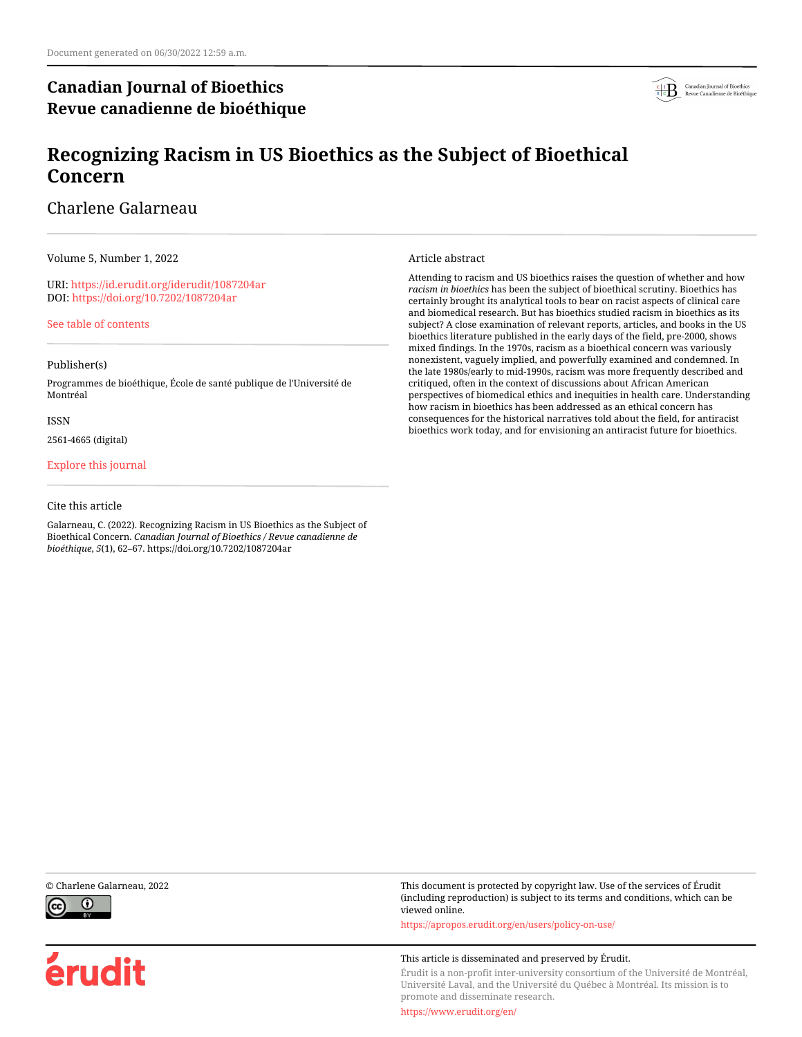# **Canadian Journal of Bioethics Revue canadienne de bioéthique**



# **Recognizing Racism in US Bioethics as the Subject of Bioethical Concern**

# Charlene Galarneau

Volume 5, Number 1, 2022

URI:<https://id.erudit.org/iderudit/1087204ar> DOI:<https://doi.org/10.7202/1087204ar>

[See table of contents](https://www.erudit.org/en/journals/bioethics/2022-v5-n1-bioethics06848/)

# Publisher(s)

Programmes de bioéthique, École de santé publique de l'Université de Montréal

### ISSN

2561-4665 (digital)

# [Explore this journal](https://www.erudit.org/en/journals/bioethics/)

# Cite this article

Galarneau, C. (2022). Recognizing Racism in US Bioethics as the Subject of Bioethical Concern. *Canadian Journal of Bioethics / Revue canadienne de bioéthique*, *5*(1), 62–67. https://doi.org/10.7202/1087204ar

### Article abstract

Attending to racism and US bioethics raises the question of whether and how *racism in bioethics* has been the subject of bioethical scrutiny. Bioethics has certainly brought its analytical tools to bear on racist aspects of clinical care and biomedical research. But has bioethics studied racism in bioethics as its subject? A close examination of relevant reports, articles, and books in the US bioethics literature published in the early days of the field, pre-2000, shows mixed findings. In the 1970s, racism as a bioethical concern was variously nonexistent, vaguely implied, and powerfully examined and condemned. In the late 1980s/early to mid-1990s, racism was more frequently described and critiqued, often in the context of discussions about African American perspectives of biomedical ethics and inequities in health care. Understanding how racism in bioethics has been addressed as an ethical concern has consequences for the historical narratives told about the field, for antiracist bioethics work today, and for envisioning an antiracist future for bioethics.





érudit

© Charlene Galarneau, 2022 This document is protected by copyright law. Use of the services of Érudit (including reproduction) is subject to its terms and conditions, which can be viewed online.

<https://apropos.erudit.org/en/users/policy-on-use/>

### This article is disseminated and preserved by Érudit.

Érudit is a non-profit inter-university consortium of the Université de Montréal, Université Laval, and the Université du Québec à Montréal. Its mission is to promote and disseminate research.

<https://www.erudit.org/en/>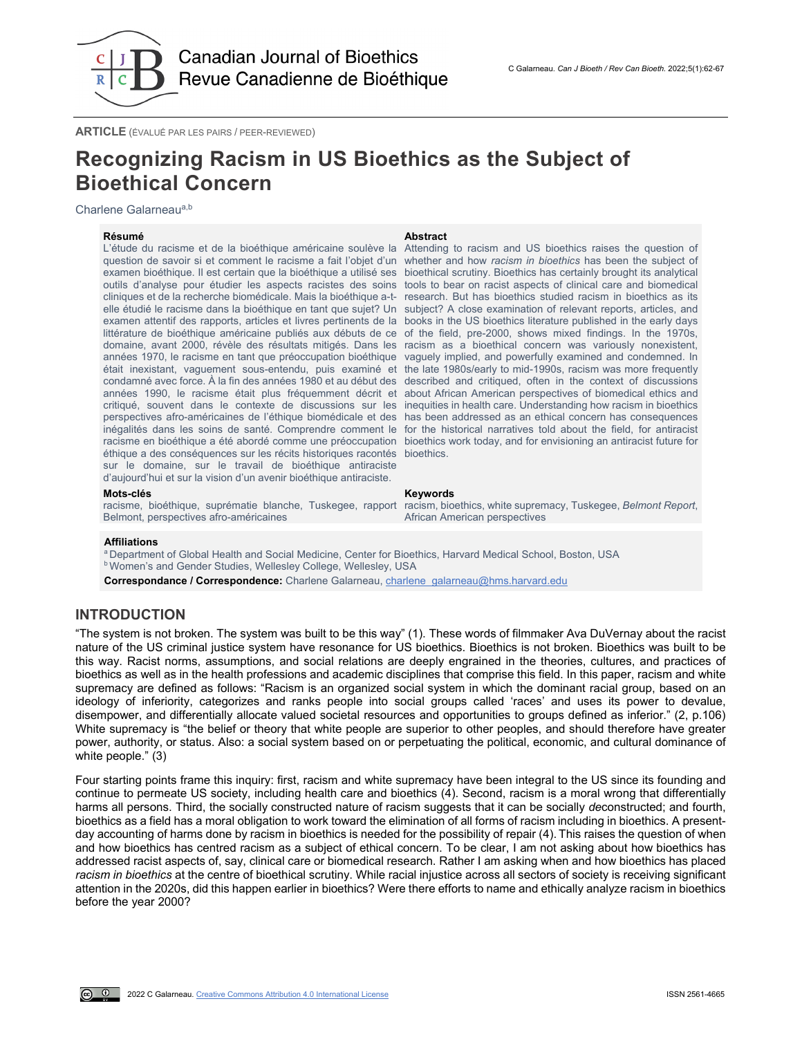

**ARTICLE** (ÉVALUÉ PAR LES PAIRS / PEER-REVIEWED)

# **Recognizing Racism in US Bioethics as the Subject of Bioethical Concern**

Charlene Galarneau<sup>a,b</sup>

**Résumé Abstract** L'étude du racisme et de la bioéthique américaine soulève la Attending to racism and US bioethics raises the question of question de savoir si et comment le racisme a fait l'objet d'un whether and how *racism in bioethics* has been the subject of examen bioéthique. Il est certain que la bioéthique a utilisé ses bioethical scrutiny. Bioethics has certainly brought its analytical outils d'analyse pour étudier les aspects racistes des soins tools to bear on racist aspects of clinical care and biomedical cliniques et de la recherche biomédicale. Mais la bioéthique a-t-research. But has bioethics studied racism in bioethics as its elle étudié le racisme dans la bioéthique en tant que sujet? Un subject? A close examination of relevant reports, articles, and examen attentif des rapports, articles et livres pertinents de la books in the US bioethics literature published in the early days littérature de bioéthique américaine publiés aux débuts de ce of the field, pre-2000, shows mixed findings. In the 1970s, domaine, avant 2000, révèle des résultats mitigés. Dans les racism as a bioethical concern was variously nonexistent, années 1970, le racisme en tant que préoccupation bioéthique vaguely implied, and powerfully examined and condemned. In était inexistant, vaguement sous-entendu, puis examiné et the late 1980s/early to mid-1990s, racism was more frequently condamné avec force. À la fin des années 1980 et au début des described and critiqued, often in the context of discussions années 1990, le racisme était plus fréquemment décrit et about African American perspectives of biomedical ethics and critiqué, souvent dans le contexte de discussions sur les inequities in health care. Understanding how racism in bioethics perspectives afro-américaines de l'éthique biomédicale et des has been addressed as an ethical concern has consequences inégalités dans les soins de santé. Comprendre comment le for the historical narratives told about the field, for antiracist racisme en bioéthique a été abordé comme une préoccupation bioethics work today, and for envisioning an antiracist future for éthique a des conséquences sur les récits historiques racontés bioethics. sur le domaine, sur le travail de bioéthique antiraciste d'aujourd'hui et sur la vision d'un avenir bioéthique antiraciste.

### **Mots-clés Keywords**

Belmont, perspectives afro-américaines

racisme, bioéthique, suprématie blanche, Tuskegee, rapport racism, bioethics, white supremacy, Tuskegee, *Belmont Report*, African American perspectives

### **Affiliations**

a Department of Global Health and Social Medicine, Center for Bioethics, Harvard Medical School, Boston, USA **b Women's and Gender Studies, Wellesley College, Wellesley, USA** 

**Correspondance / Correspondence:** Charlene Galarneau[, charlene\\_galarneau@hms.harvard.edu](mailto:charlene_galarneau@hms.harvard.edu)

# **INTRODUCTION**

"The system is not broken. The system was built to be this way" (1). These words of filmmaker Ava DuVernay about the racist nature of the US criminal justice system have resonance for US bioethics. Bioethics is not broken. Bioethics was built to be this way. Racist norms, assumptions, and social relations are deeply engrained in the theories, cultures, and practices of bioethics as well as in the health professions and academic disciplines that comprise this field. In this paper, racism and white supremacy are defined as follows: "Racism is an organized social system in which the dominant racial group, based on an ideology of inferiority, categorizes and ranks people into social groups called 'races' and uses its power to devalue, disempower, and differentially allocate valued societal resources and opportunities to groups defined as inferior." (2, p.106) White supremacy is "the belief or theory that white people are superior to other peoples, and should therefore have greater power, authority, or status. Also: a social system based on or perpetuating the political, economic, and cultural dominance of white people." (3)

Four starting points frame this inquiry: first, racism and white supremacy have been integral to the US since its founding and continue to permeate US society, including health care and bioethics (4). Second, racism is a moral wrong that differentially harms all persons. Third, the socially constructed nature of racism suggests that it can be socially *de*constructed; and fourth, bioethics as a field has a moral obligation to work toward the elimination of all forms of racism including in bioethics. A presentday accounting of harms done by racism in bioethics is needed for the possibility of repair (4). This raises the question of when and how bioethics has centred racism as a subject of ethical concern. To be clear, I am not asking about how bioethics has addressed racist aspects of, say, clinical care or biomedical research. Rather I am asking when and how bioethics has placed *racism in bioethics* at the centre of bioethical scrutiny. While racial injustice across all sectors of society is receiving significant attention in the 2020s, did this happen earlier in bioethics? Were there efforts to name and ethically analyze racism in bioethics before the year 2000?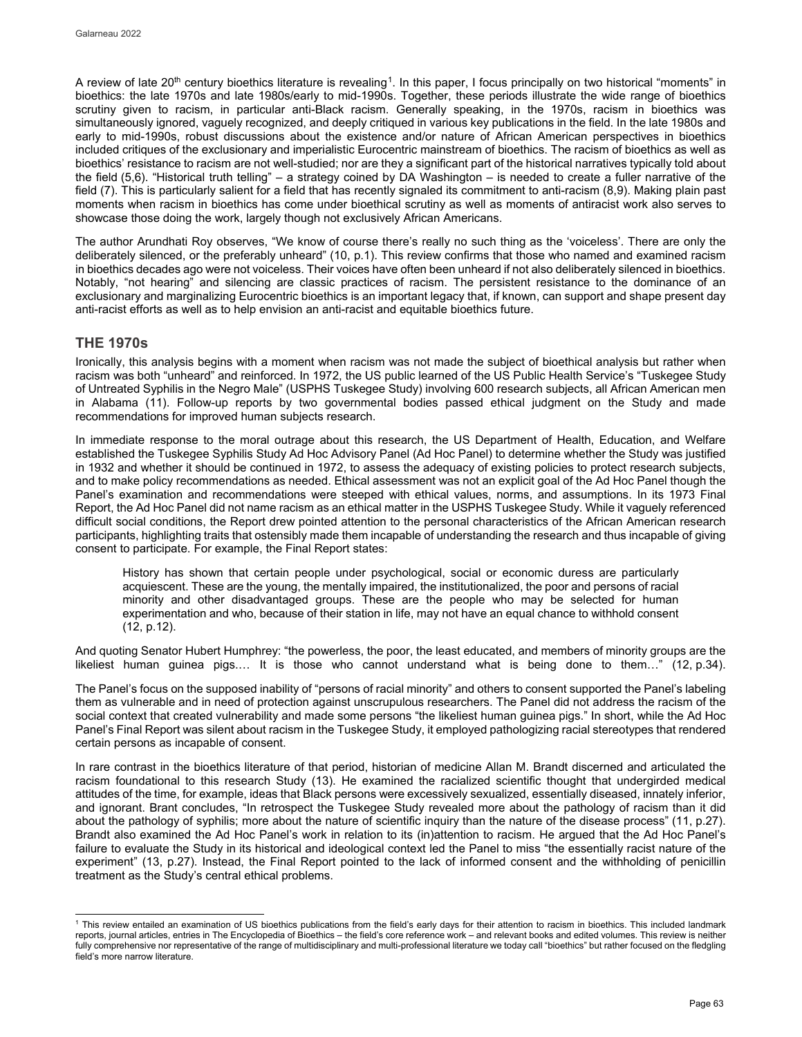A review of late 20<sup>th</sup> century bioethics literature is revealing<sup>1</sup>. In this paper, I focus principally on two historical "moments" in bioethics: the late 1970s and late 1980s/early to mid-1990s. Together, these periods illustrate the wide range of bioethics scrutiny given to racism, in particular anti-Black racism. Generally speaking, in the 1970s, racism in bioethics was simultaneously ignored, vaguely recognized, and deeply critiqued in various key publications in the field. In the late 1980s and early to mid-1990s, robust discussions about the existence and/or nature of African American perspectives in bioethics included critiques of the exclusionary and imperialistic Eurocentric mainstream of bioethics. The racism of bioethics as well as bioethics' resistance to racism are not well-studied; nor are they a significant part of the historical narratives typically told about the field (5,6). "Historical truth telling" – a strategy coined by DA Washington – is needed to create a fuller narrative of the field (7). This is particularly salient for a field that has recently signaled its commitment to anti-racism (8,9). Making plain past moments when racism in bioethics has come under bioethical scrutiny as well as moments of antiracist work also serves to showcase those doing the work, largely though not exclusively African Americans.

The author Arundhati Roy observes, "We know of course there's really no such thing as the 'voiceless'. There are only the deliberately silenced, or the preferably unheard" (10, p.1). This review confirms that those who named and examined racism in bioethics decades ago were not voiceless. Their voices have often been unheard if not also deliberately silenced in bioethics. Notably, "not hearing" and silencing are classic practices of racism. The persistent resistance to the dominance of an exclusionary and marginalizing Eurocentric bioethics is an important legacy that, if known, can support and shape present day anti-racist efforts as well as to help envision an anti-racist and equitable bioethics future.

# **THE 1970s**

Ironically, this analysis begins with a moment when racism was not made the subject of bioethical analysis but rather when racism was both "unheard" and reinforced. In 1972, the US public learned of the US Public Health Service's "Tuskegee Study of Untreated Syphilis in the Negro Male" (USPHS Tuskegee Study) involving 600 research subjects, all African American men in Alabama (11). Follow-up reports by two governmental bodies passed ethical judgment on the Study and made recommendations for improved human subjects research.

In immediate response to the moral outrage about this research, the US Department of Health, Education, and Welfare established the Tuskegee Syphilis Study Ad Hoc Advisory Panel (Ad Hoc Panel) to determine whether the Study was justified in 1932 and whether it should be continued in 1972, to assess the adequacy of existing policies to protect research subjects, and to make policy recommendations as needed. Ethical assessment was not an explicit goal of the Ad Hoc Panel though the Panel's examination and recommendations were steeped with ethical values, norms, and assumptions. In its 1973 Final Report, the Ad Hoc Panel did not name racism as an ethical matter in the USPHS Tuskegee Study. While it vaguely referenced difficult social conditions, the Report drew pointed attention to the personal characteristics of the African American research participants, highlighting traits that ostensibly made them incapable of understanding the research and thus incapable of giving consent to participate. For example, the Final Report states:

History has shown that certain people under psychological, social or economic duress are particularly acquiescent. These are the young, the mentally impaired, the institutionalized, the poor and persons of racial minority and other disadvantaged groups. These are the people who may be selected for human experimentation and who, because of their station in life, may not have an equal chance to withhold consent (12, p.12).

And quoting Senator Hubert Humphrey: "the powerless, the poor, the least educated, and members of minority groups are the likeliest human guinea pigs.… It is those who cannot understand what is being done to them…" (12, p.34).

The Panel's focus on the supposed inability of "persons of racial minority" and others to consent supported the Panel's labeling them as vulnerable and in need of protection against unscrupulous researchers. The Panel did not address the racism of the social context that created vulnerability and made some persons "the likeliest human guinea pigs." In short, while the Ad Hoc Panel's Final Report was silent about racism in the Tuskegee Study, it employed pathologizing racial stereotypes that rendered certain persons as incapable of consent.

In rare contrast in the bioethics literature of that period, historian of medicine Allan M. Brandt discerned and articulated the racism foundational to this research Study (13). He examined the racialized scientific thought that undergirded medical attitudes of the time, for example, ideas that Black persons were excessively sexualized, essentially diseased, innately inferior, and ignorant. Brant concludes, "In retrospect the Tuskegee Study revealed more about the pathology of racism than it did about the pathology of syphilis; more about the nature of scientific inquiry than the nature of the disease process" (11, p.27). Brandt also examined the Ad Hoc Panel's work in relation to its (in)attention to racism. He argued that the Ad Hoc Panel's failure to evaluate the Study in its historical and ideological context led the Panel to miss "the essentially racist nature of the experiment" (13, p.27). Instead, the Final Report pointed to the lack of informed consent and the withholding of penicillin treatment as the Study's central ethical problems.

<span id="page-2-0"></span> <sup>1</sup> This review entailed an examination of US bioethics publications from the field's early days for their attention to racism in bioethics. This included landmark reports, journal articles, entries in The Encyclopedia of Bioethics – the field's core reference work – and relevant books and edited volumes. This review is neither fully comprehensive nor representative of the range of multidisciplinary and multi-professional literature we today call "bioethics" but rather focused on the fledgling field's more narrow literature.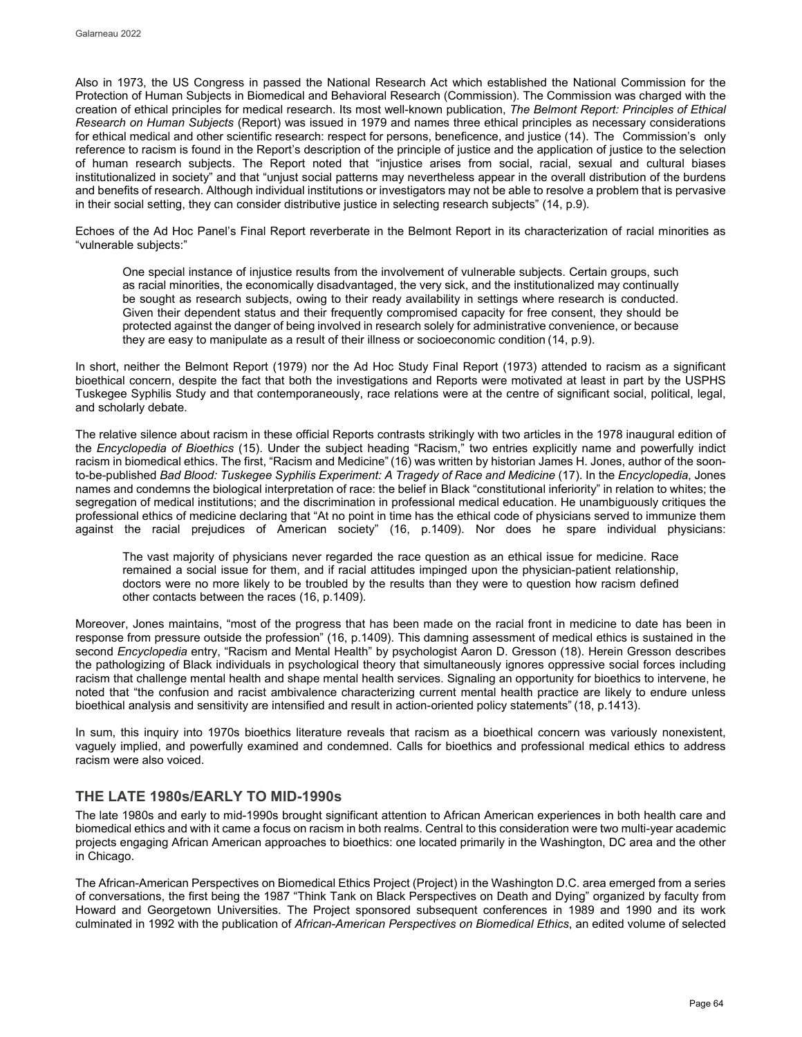Also in 1973, the US Congress in passed the National Research Act which established the National Commission for the Protection of Human Subjects in Biomedical and Behavioral Research (Commission). The Commission was charged with the creation of ethical principles for medical research. Its most well-known publication, *The Belmont Report: Principles of Ethical Research on Human Subjects* (Report) was issued in 1979 and names three ethical principles as necessary considerations for ethical medical and other scientific research: respect for persons, beneficence, and justice (14). The Commission's only reference to racism is found in the Report's description of the principle of justice and the application of justice to the selection of human research subjects. The Report noted that "injustice arises from social, racial, sexual and cultural biases institutionalized in society" and that "unjust social patterns may nevertheless appear in the overall distribution of the burdens and benefits of research. Although individual institutions or investigators may not be able to resolve a problem that is pervasive in their social setting, they can consider distributive justice in selecting research subjects" (14, p.9).

Echoes of the Ad Hoc Panel's Final Report reverberate in the Belmont Report in its characterization of racial minorities as "vulnerable subjects:"

One special instance of injustice results from the involvement of vulnerable subjects. Certain groups, such as racial minorities, the economically disadvantaged, the very sick, and the institutionalized may continually be sought as research subjects, owing to their ready availability in settings where research is conducted. Given their dependent status and their frequently compromised capacity for free consent, they should be protected against the danger of being involved in research solely for administrative convenience, or because they are easy to manipulate as a result of their illness or socioeconomic condition (14, p.9).

In short, neither the Belmont Report (1979) nor the Ad Hoc Study Final Report (1973) attended to racism as a significant bioethical concern, despite the fact that both the investigations and Reports were motivated at least in part by the USPHS Tuskegee Syphilis Study and that contemporaneously, race relations were at the centre of significant social, political, legal, and scholarly debate.

The relative silence about racism in these official Reports contrasts strikingly with two articles in the 1978 inaugural edition of the *Encyclopedia of Bioethics* (15). Under the subject heading "Racism," two entries explicitly name and powerfully indict racism in biomedical ethics. The first, "Racism and Medicine"(16) was written by historian James H. Jones, author of the soonto-be-published *Bad Blood: Tuskegee Syphilis Experiment: A Tragedy of Race and Medicine* (17). In the *Encyclopedia*, Jones names and condemns the biological interpretation of race: the belief in Black "constitutional inferiority" in relation to whites; the segregation of medical institutions; and the discrimination in professional medical education. He unambiguously critiques the professional ethics of medicine declaring that "At no point in time has the ethical code of physicians served to immunize them against the racial prejudices of American society" (16, p.1409). Nor does he spare individual physicians:

The vast majority of physicians never regarded the race question as an ethical issue for medicine. Race remained a social issue for them, and if racial attitudes impinged upon the physician-patient relationship, doctors were no more likely to be troubled by the results than they were to question how racism defined other contacts between the races (16, p.1409).

Moreover, Jones maintains, "most of the progress that has been made on the racial front in medicine to date has been in response from pressure outside the profession" (16, p.1409). This damning assessment of medical ethics is sustained in the second *Encyclopedia* entry, "Racism and Mental Health" by psychologist Aaron D. Gresson (18). Herein Gresson describes the pathologizing of Black individuals in psychological theory that simultaneously ignores oppressive social forces including racism that challenge mental health and shape mental health services. Signaling an opportunity for bioethics to intervene, he noted that "the confusion and racist ambivalence characterizing current mental health practice are likely to endure unless bioethical analysis and sensitivity are intensified and result in action-oriented policy statements" (18, p.1413).

In sum, this inquiry into 1970s bioethics literature reveals that racism as a bioethical concern was variously nonexistent, vaguely implied, and powerfully examined and condemned. Calls for bioethics and professional medical ethics to address racism were also voiced.

# **THE LATE 1980s/EARLY TO MID-1990s**

The late 1980s and early to mid-1990s brought significant attention to African American experiences in both health care and biomedical ethics and with it came a focus on racism in both realms. Central to this consideration were two multi-year academic projects engaging African American approaches to bioethics: one located primarily in the Washington, DC area and the other in Chicago.

The African-American Perspectives on Biomedical Ethics Project (Project) in the Washington D.C. area emerged from a series of conversations, the first being the 1987 "Think Tank on Black Perspectives on Death and Dying" organized by faculty from Howard and Georgetown Universities. The Project sponsored subsequent conferences in 1989 and 1990 and its work culminated in 1992 with the publication of *African-American Perspectives on Biomedical Ethics*, an edited volume of selected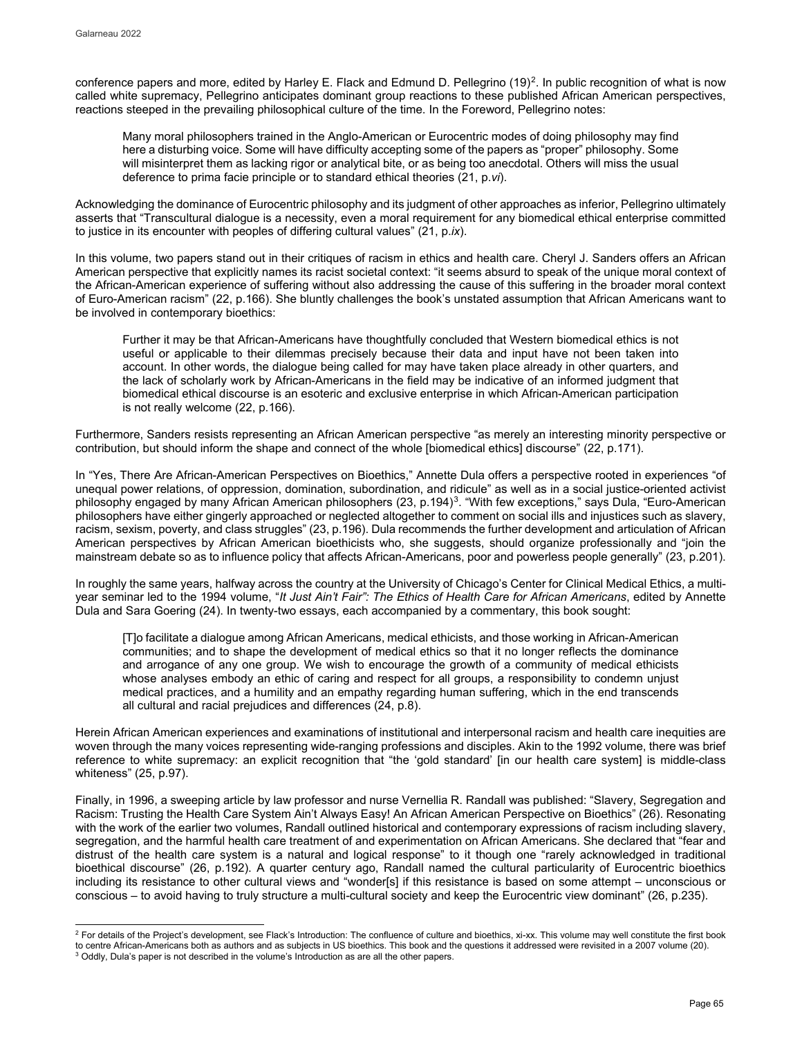conference papers and more, edited by Harley E. Flack and Edmund D. Pellegrino  $(19)^2$  $(19)^2$ . In public recognition of what is now called white supremacy, Pellegrino anticipates dominant group reactions to these published African American perspectives, reactions steeped in the prevailing philosophical culture of the time. In the Foreword, Pellegrino notes:

Many moral philosophers trained in the Anglo-American or Eurocentric modes of doing philosophy may find here a disturbing voice. Some will have difficulty accepting some of the papers as "proper" philosophy. Some will misinterpret them as lacking rigor or analytical bite, or as being too anecdotal. Others will miss the usual deference to prima facie principle or to standard ethical theories (21, p.*vi*).

Acknowledging the dominance of Eurocentric philosophy and its judgment of other approaches as inferior, Pellegrino ultimately asserts that "Transcultural dialogue is a necessity, even a moral requirement for any biomedical ethical enterprise committed to justice in its encounter with peoples of differing cultural values" (21, p.*ix*).

In this volume, two papers stand out in their critiques of racism in ethics and health care. Cheryl J. Sanders offers an African American perspective that explicitly names its racist societal context: "it seems absurd to speak of the unique moral context of the African-American experience of suffering without also addressing the cause of this suffering in the broader moral context of Euro-American racism" (22, p.166). She bluntly challenges the book's unstated assumption that African Americans want to be involved in contemporary bioethics:

Further it may be that African-Americans have thoughtfully concluded that Western biomedical ethics is not useful or applicable to their dilemmas precisely because their data and input have not been taken into account. In other words, the dialogue being called for may have taken place already in other quarters, and the lack of scholarly work by African-Americans in the field may be indicative of an informed judgment that biomedical ethical discourse is an esoteric and exclusive enterprise in which African-American participation is not really welcome (22, p.166).

Furthermore, Sanders resists representing an African American perspective "as merely an interesting minority perspective or contribution, but should inform the shape and connect of the whole [biomedical ethics] discourse" (22, p.171).

In "Yes, There Are African-American Perspectives on Bioethics," Annette Dula offers a perspective rooted in experiences "of unequal power relations, of oppression, domination, subordination, and ridicule" as well as in a social justice-oriented activist philosophy engaged by many African American philosophers (2[3](#page-4-1), p.194)<sup>3</sup>. "With few exceptions," says Dula, "Euro-American philosophers have either gingerly approached or neglected altogether to comment on social ills and injustices such as slavery, racism, sexism, poverty, and class struggles" (23, p.196). Dula recommends the further development and articulation of African American perspectives by African American bioethicists who, she suggests, should organize professionally and "join the mainstream debate so as to influence policy that affects African-Americans, poor and powerless people generally" (23, p.201).

In roughly the same years, halfway across the country at the University of Chicago's Center for Clinical Medical Ethics, a multiyear seminar led to the 1994 volume, "*It Just Ain't Fair": The Ethics of Health Care for African Americans*, edited by Annette Dula and Sara Goering (24). In twenty-two essays, each accompanied by a commentary, this book sought:

[T]o facilitate a dialogue among African Americans, medical ethicists, and those working in African-American communities; and to shape the development of medical ethics so that it no longer reflects the dominance and arrogance of any one group. We wish to encourage the growth of a community of medical ethicists whose analyses embody an ethic of caring and respect for all groups, a responsibility to condemn unjust medical practices, and a humility and an empathy regarding human suffering, which in the end transcends all cultural and racial prejudices and differences (24, p.8).

Herein African American experiences and examinations of institutional and interpersonal racism and health care inequities are woven through the many voices representing wide-ranging professions and disciples. Akin to the 1992 volume, there was brief reference to white supremacy: an explicit recognition that "the 'gold standard' [in our health care system] is middle-class whiteness" (25, p.97).

Finally, in 1996, a sweeping article by law professor and nurse Vernellia R. Randall was published: "Slavery, Segregation and Racism: Trusting the Health Care System Ain't Always Easy! An African American Perspective on Bioethics" (26). Resonating with the work of the earlier two volumes, Randall outlined historical and contemporary expressions of racism including slavery, segregation, and the harmful health care treatment of and experimentation on African Americans. She declared that "fear and distrust of the health care system is a natural and logical response" to it though one "rarely acknowledged in traditional bioethical discourse" (26, p.192). A quarter century ago, Randall named the cultural particularity of Eurocentric bioethics including its resistance to other cultural views and "wonder[s] if this resistance is based on some attempt – unconscious or conscious – to avoid having to truly structure a multi-cultural society and keep the Eurocentric view dominant" (26, p.235).

<span id="page-4-0"></span>j  $^2$  For details of the Project's development, see Flack's Introduction: The confluence of culture and bioethics, xi-xx. This volume may well constitute the first book to centre African-Americans both as authors and as subjects in US bioethics. This book and the questions it addressed were revisited in a 2007 volume (20).

<span id="page-4-1"></span><sup>&</sup>lt;sup>3</sup> Oddly, Dula's paper is not described in the volume's Introduction as are all the other papers.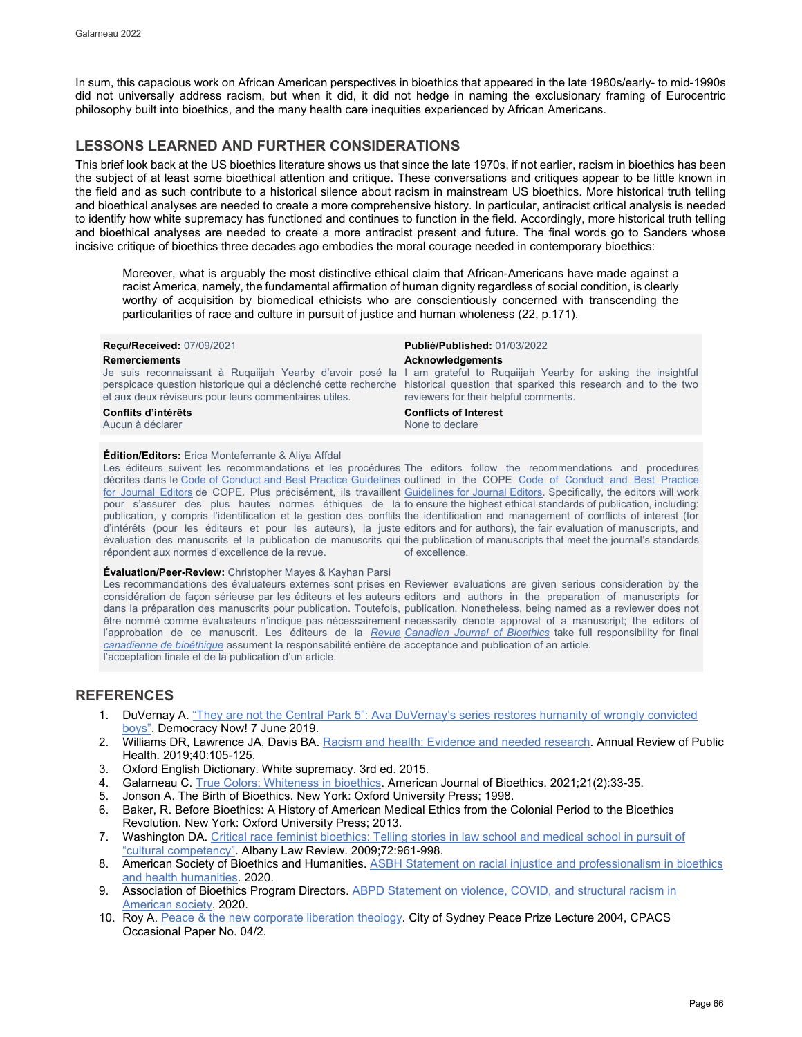In sum, this capacious work on African American perspectives in bioethics that appeared in the late 1980s/early- to mid-1990s did not universally address racism, but when it did, it did not hedge in naming the exclusionary framing of Eurocentric philosophy built into bioethics, and the many health care inequities experienced by African Americans.

# **LESSONS LEARNED AND FURTHER CONSIDERATIONS**

This brief look back at the US bioethics literature shows us that since the late 1970s, if not earlier, racism in bioethics has been the subject of at least some bioethical attention and critique. These conversations and critiques appear to be little known in the field and as such contribute to a historical silence about racism in mainstream US bioethics. More historical truth telling and bioethical analyses are needed to create a more comprehensive history. In particular, antiracist critical analysis is needed to identify how white supremacy has functioned and continues to function in the field. Accordingly, more historical truth telling and bioethical analyses are needed to create a more antiracist present and future. The final words go to Sanders whose incisive critique of bioethics three decades ago embodies the moral courage needed in contemporary bioethics:

Moreover, what is arguably the most distinctive ethical claim that African-Americans have made against a racist America, namely, the fundamental affirmation of human dignity regardless of social condition, is clearly worthy of acquisition by biomedical ethicists who are conscientiously concerned with transcending the particularities of race and culture in pursuit of justice and human wholeness (22, p.171).

| <b>Recu/Received: 07/09/2021</b><br><b>Remerciements</b><br>et aux deux réviseurs pour leurs commentaires utiles. | <b>Publié/Published: 01/03/2022</b><br>Acknowledgements<br>Je suis reconnaissant à Rugailjah Yearby d'avoir posé la I am grateful to Rugailjah Yearby for asking the insightful<br>perspicace question historique qui a déclenché cette recherche historical question that sparked this research and to the two<br>reviewers for their helpful comments. |
|-------------------------------------------------------------------------------------------------------------------|----------------------------------------------------------------------------------------------------------------------------------------------------------------------------------------------------------------------------------------------------------------------------------------------------------------------------------------------------------|
| Conflits d'intérêts                                                                                               | <b>Conflicts of Interest</b>                                                                                                                                                                                                                                                                                                                             |
| Aucun à déclarer                                                                                                  | None to declare                                                                                                                                                                                                                                                                                                                                          |

# **Édition/Editors:** Erica Monteferrante & Aliya Affdal

Les éditeurs suivent les recommandations et les procédures The editors follow the recommendations and procedures décrites dans le [Code of Conduct and Best Practice Guidelines](http://publicationethics.org/resources/code-conduct) outlined in the COPE Code of Conduct and Best Practice [for Journal Editors](http://publicationethics.org/resources/code-conduct) de COPE. Plus précisément, ils travaillent [Guidelines for Journal Editors.](http://publicationethics.org/resources/code-conduct) Specifically, the editors will work pour s'assurer des plus hautes normes éthiques de la to ensure the highest ethical standards of publication, including: publication, y compris l'identification et la gestion des conflits the identification and management of conflicts of interest (for d'intérêts (pour les éditeurs et pour les auteurs), la juste editors and for authors), the fair evaluation of manuscripts, and évaluation des manuscrits et la publication de manuscrits qui the publication of manuscripts that meet the journal's standards répondent aux normes d'excellence de la revue. of excellence.

### **Évaluation/Peer-Review:** Christopher Mayes & Kayhan Parsi

Les recommandations des évaluateurs externes sont prises en Reviewer evaluations are given serious consideration by the considération de façon sérieuse par les éditeurs et les auteurs editors and authors in the preparation of manuscripts for dans la préparation des manuscrits pour publication. Toutefois, publication. Nonetheless, being named as a reviewer does not être nommé comme évaluateurs n'indique pas nécessairement necessarily denote approval of a manuscript; the editors of l'approbation de ce manuscrit. Les éditeurs de la <u>*[Revue](http://cjb-rcb.ca/) [Canadian Journal of Bioethics](http://cjb-rcb.ca/)*</u> take full responsibility for final *[canadienne de bioéthique](http://cjb-rcb.ca/)* assument la responsabilité entière de acceptance and publication of an article. l'acceptation finale et de la publication d'un article.

# **REFERENCES**

- 1. DuVernay A. "They are not the [Central Park 5": Ava DuVernay's series restores humanity of wrongly convicted](https://www.democracynow.org/2019/6/7/ava_duvernay_when_they_see_us)  [boys".](https://www.democracynow.org/2019/6/7/ava_duvernay_when_they_see_us) Democracy Now! 7 June 2019.
- 2. Williams DR, Lawrence JA, Davis BA[. Racism and health: Evidence and needed research.](https://www.annualreviews.org/doi/abs/10.1146/annurev-publhealth-040218-043750) Annual Review of Public Health. 2019;40:105-125.
- 3. Oxford English Dictionary. White supremacy. 3rd ed. 2015.
- 4. Galarneau C[. True Colors: Whiteness in bioethics.](https://www.tandfonline.com/doi/abs/10.1080/15265161.2020.1861388) American Journal of Bioethics. 2021;21(2):33-35.<br>5. Jonson A. The Birth of Bioethics. New York: Oxford University Press; 1998.
- 5. Jonson A. The Birth of Bioethics. New York: Oxford University Press; 1998.
- 6. Baker, R. Before Bioethics: A History of American Medical Ethics from the Colonial Period to the Bioethics Revolution. New York: Oxford University Press; 2013.
- 7. Washington DA. Critical race [feminist bioethics: Telling stories in law school and medical school in pursuit of](https://commons.law.famu.edu/faculty-research/117/)  ["cultural competency".](https://commons.law.famu.edu/faculty-research/117/) Albany Law Review. 2009;72:961-998.
- 8. American Society of Bioethics and Humanities. ASBH Statement on racial injustice and professionalism in bioethics [and health humanities.](https://asbh.org/asbh-statement-on-racial-injustice-and-professionalism) 2020.
- 9. Association of Bioethics Program Directors. ABPD Statement on violence, COVID, and structural racism in [American society.](https://www.bioethicsdirectors.net/abpd-statement-on-violence-covid-and-structural-racism-in-american-society/) 2020.
- 10. Roy A. [Peace & the new corporate liberation theology.](https://sydneypeacefoundation.org.au/wp-content/uploads/2012/02/2004-SPP_-Arundhati-Roy.pdf) City of Sydney Peace Prize Lecture 2004, CPACS Occasional Paper No. 04/2.